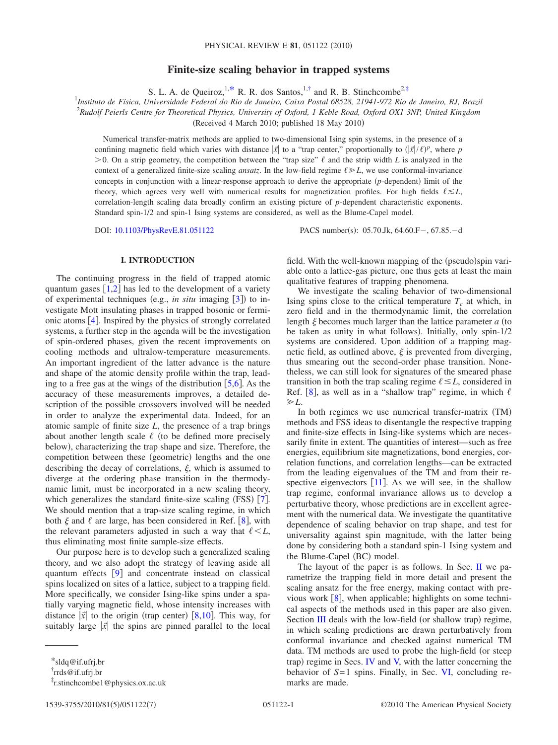# **Finite-size scaling behavior in trapped systems**

S. L. A. de Queiroz,  $1, *$  R. R. dos Santos,  $1, †$  and R. B. Stinchcombe<sup>2[,‡](#page-0-2)</sup>

<sup>1</sup>Instituto de Física, Universidade Federal do Rio de Janeiro, Caixa Postal 68528, 21941-972 Rio de Janeiro, RJ, Brazil 2 *Rudolf Peierls Centre for Theoretical Physics, University of Oxford, 1 Keble Road, Oxford OX1 3NP, United Kingdom*

(Received 4 March 2010; published  $18$  May 2010)

Numerical transfer-matrix methods are applied to two-dimensional Ising spin systems, in the presence of a confining magnetic field which varies with distance  $|\vec{x}|$  to a "trap center," proportionally to  $(|\vec{x}|/\ell)^p$ , where p  $>0$ . On a strip geometry, the competition between the "trap size"  $\ell$  and the strip width *L* is analyzed in the context of a generalized finite-size scaling *ansatz*. In the low-field regime  $\ell \ge L$ , we use conformal-invariance concepts in conjunction with a linear-response approach to derive the appropriate (p-dependent) limit of the theory, which agrees very well with numerical results for magnetization profiles. For high fields  $\ell \leq L$ , correlation-length scaling data broadly confirm an existing picture of *p*-dependent characteristic exponents. Standard spin-1/2 and spin-1 Ising systems are considered, as well as the Blume-Capel model.

DOI: [10.1103/PhysRevE.81.051122](http://dx.doi.org/10.1103/PhysRevE.81.051122)

PACS number(s):  $05.70$ .Jk,  $64.60.F-, 67.85.-d$ 

# **I. INTRODUCTION**

The continuing progress in the field of trapped atomic quantum gases  $\lceil 1,2 \rceil$  $\lceil 1,2 \rceil$  $\lceil 1,2 \rceil$  $\lceil 1,2 \rceil$  has led to the development of a variety of experimental techniques (e.g., *in situ* imaging [[3](#page-6-2)]) to investigate Mott insulating phases in trapped bosonic or fermionic atoms  $[4]$  $[4]$  $[4]$ . Inspired by the physics of strongly correlated systems, a further step in the agenda will be the investigation of spin-ordered phases, given the recent improvements on cooling methods and ultralow-temperature measurements. An important ingredient of the latter advance is the nature and shape of the atomic density profile within the trap, leading to a free gas at the wings of the distribution  $[5,6]$  $[5,6]$  $[5,6]$  $[5,6]$ . As the accuracy of these measurements improves, a detailed description of the possible crossovers involved will be needed in order to analyze the experimental data. Indeed, for an atomic sample of finite size *L*, the presence of a trap brings about another length scale  $\ell$  (to be defined more precisely below), characterizing the trap shape and size. Therefore, the competition between these (geometric) lengths and the one describing the decay of correlations,  $\xi$ , which is assumed to diverge at the ordering phase transition in the thermodynamic limit, must be incorporated in a new scaling theory, which generalizes the standard finite-size scaling (FSS) [[7](#page-6-6)]. We should mention that a trap-size scaling regime, in which both  $\xi$  and  $\ell$  are large, has been considered in Ref. [[8](#page-6-7)], with the relevant parameters adjusted in such a way that  $\ell \leq L$ , thus eliminating most finite sample-size effects.

Our purpose here is to develop such a generalized scaling theory, and we also adopt the strategy of leaving aside all quantum effects  $\begin{bmatrix} 9 \end{bmatrix}$  $\begin{bmatrix} 9 \end{bmatrix}$  $\begin{bmatrix} 9 \end{bmatrix}$  and concentrate instead on classical spins localized on sites of a lattice, subject to a trapping field. More specifically, we consider Ising-like spins under a spatially varying magnetic field, whose intensity increases with distance  $|\vec{x}|$  to the origin (trap center) [[8](#page-6-7)[,10](#page-6-9)]. This way, for suitably large  $|\vec{x}|$  the spins are pinned parallel to the local

field. With the well-known mapping of the (pseudo)spin variable onto a lattice-gas picture, one thus gets at least the main qualitative features of trapping phenomena.

We investigate the scaling behavior of two-dimensional Ising spins close to the critical temperature  $T_c$  at which, in zero field and in the thermodynamic limit, the correlation length  $\xi$  becomes much larger than the lattice parameter  $a$  (to be taken as unity in what follows). Initially, only spin-1/2 systems are considered. Upon addition of a trapping magnetic field, as outlined above,  $\xi$  is prevented from diverging, thus smearing out the second-order phase transition. Nonetheless, we can still look for signatures of the smeared phase transition in both the trap scaling regime  $\ell \leq L$ , considered in Ref. [[8](#page-6-7)], as well as in a "shallow trap" regime, in which  $\ell$  $\geq L$ .

In both regimes we use numerical transfer-matrix (TM) methods and FSS ideas to disentangle the respective trapping and finite-size effects in Ising-like systems which are necessarily finite in extent. The quantities of interest—such as free energies, equilibrium site magnetizations, bond energies, correlation functions, and correlation lengths—can be extracted from the leading eigenvalues of the TM and from their respective eigenvectors  $[11]$  $[11]$  $[11]$ . As we will see, in the shallow trap regime, conformal invariance allows us to develop a perturbative theory, whose predictions are in excellent agreement with the numerical data. We investigate the quantitative dependence of scaling behavior on trap shape, and test for universality against spin magnitude, with the latter being done by considering both a standard spin-1 Ising system and the Blume-Capel (BC) model.

The layout of the paper is as follows. In Sec. [II](#page-1-0) we parametrize the trapping field in more detail and present the scaling ansatz for the free energy, making contact with previous work  $\lceil 8 \rceil$  $\lceil 8 \rceil$  $\lceil 8 \rceil$ , when applicable; highlights on some technical aspects of the methods used in this paper are also given. Section [III](#page-1-1) deals with the low-field (or shallow trap) regime, in which scaling predictions are drawn perturbatively from conformal invariance and checked against numerical TM data. TM methods are used to probe the high-field (or steep trap) regime in Secs. [IV](#page-3-0) and [V,](#page-4-0) with the latter concerning the behavior of *S*=1 spins. Finally, in Sec. [VI,](#page-5-0) concluding remarks are made.

<span id="page-0-0"></span><sup>\*</sup>sldq@if.ufrj.br

<span id="page-0-1"></span><sup>†</sup> rrds@if.ufrj.br

<span id="page-0-2"></span><sup>‡</sup> r.stinchcombe1@physics.ox.ac.uk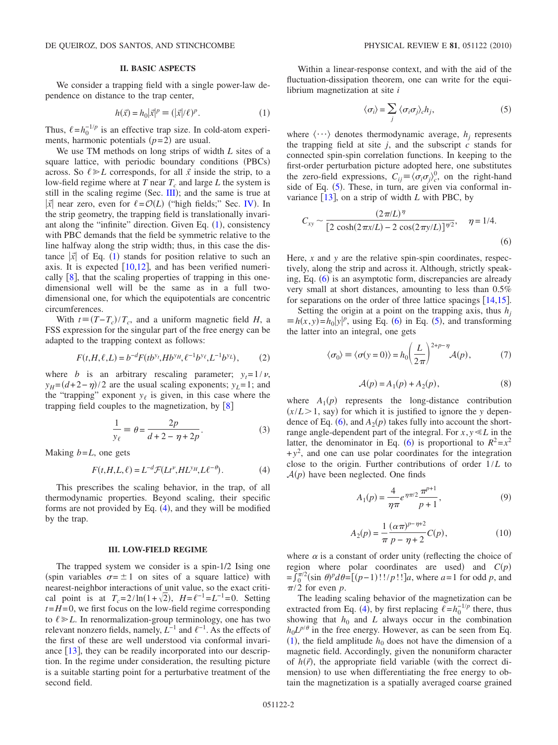# **II. BASIC ASPECTS**

<span id="page-1-0"></span>We consider a trapping field with a single power-law dependence on distance to the trap center,

$$
h(\vec{x}) = h_0 |\vec{x}|^p \equiv (|\vec{x}|/\ell)^p. \tag{1}
$$

<span id="page-1-2"></span>Thus,  $\ell = h_0^{-1/p}$  is an effective trap size. In cold-atom experiments, harmonic potentials  $(p=2)$  are usual.

We use TM methods on long strips of width *L* sites of a square lattice, with periodic boundary conditions (PBCs) across. So  $\ell \ge L$  corresponds, for all  $\vec{x}$  inside the strip, to a low-field regime where at *T* near  $T_c$  and large *L* the system is still in the scaling regime (Sec.  $III$ ); and the same is true at  $|\vec{x}|$  near zero, even for  $\ell = \mathcal{O}(L)$  ("high fields;" Sec. [IV](#page-3-0)). In the strip geometry, the trapping field is translationally invariant along the "infinite" direction. Given Eq.  $(1)$  $(1)$  $(1)$ , consistency with PBC demands that the field be symmetric relative to the line halfway along the strip width; thus, in this case the distance  $|\vec{x}|$  of Eq. ([1](#page-1-2)) stands for position relative to such an axis. It is expected  $\lceil 10,12 \rceil$  $\lceil 10,12 \rceil$  $\lceil 10,12 \rceil$  $\lceil 10,12 \rceil$ , and has been verified numerically  $[8]$  $[8]$  $[8]$ , that the scaling properties of trapping in this onedimensional well will be the same as in a full twodimensional one, for which the equipotentials are concentric circumferences.

With  $t \equiv (T - T_c)/T_c$ , and a uniform magnetic field *H*, a FSS expression for the singular part of the free energy can be adapted to the trapping context as follows:

$$
F(t, H, \ell, L) = b^{-d} F(t b^{y} t, H b^{y} t, \ell^{-1} b^{y} \ell, L^{-1} b^{y} L), \tag{2}
$$

where *b* is an arbitrary rescaling parameter;  $y_t = 1/v$ ,  $y_H = (d+2-\eta)/2$  are the usual scaling exponents;  $y_L = 1$ ; and the "trapping" exponent  $y_\ell$  is given, in this case where the trapping field couples to the magnetization, by  $\lceil 8 \rceil$  $\lceil 8 \rceil$  $\lceil 8 \rceil$ 

$$
\frac{1}{y_{\ell}} \equiv \theta = \frac{2p}{d+2-\eta+2p}.\tag{3}
$$

<span id="page-1-9"></span><span id="page-1-3"></span>Making *b*=*L*, one gets

$$
F(t, H, L, \ell) = L^{-d} \mathcal{F}(Lt^{\nu}, HL^{\gamma_H}, L\ell^{-\theta}).
$$
 (4)

This prescribes the scaling behavior, in the trap, of all thermodynamic properties. Beyond scaling, their specific forms are not provided by Eq. ([4](#page-1-3)), and they will be modified by the trap.

## **III. LOW-FIELD REGIME**

<span id="page-1-1"></span>The trapped system we consider is a spin-1/2 Ising one (spin variables  $\sigma = \pm 1$  on sites of a square lattice) with nearest-neighbor interactions of unit value, so the exact critical point is at  $T_c = 2/\ln(1 + \sqrt{2})$ ,  $H = \ell^{-1} = L^{-1} = 0$ . Setting  $t=H=0$ , we first focus on the low-field regime corresponding to  $\ell \geq L$ . In renormalization-group terminology, one has two relevant nonzero fields, namely,  $\hat{L}^{-1}$  and  $\ell^{-1}$ . As the effects of the first of these are well understood via conformal invariance  $[13]$  $[13]$  $[13]$ , they can be readily incorporated into our description. In the regime under consideration, the resulting picture is a suitable starting point for a perturbative treatment of the second field.

Within a linear-response context, and with the aid of the fluctuation-dissipation theorem, one can write for the equilibrium magnetization at site *i*

$$
\langle \sigma_i \rangle = \sum_j \langle \sigma_i \sigma_j \rangle_c h_j,\tag{5}
$$

<span id="page-1-4"></span>where  $\langle \cdots \rangle$  denotes thermodynamic average,  $h_i$  represents the trapping field at site  $j$ , and the subscript  $\vec{c}$  stands for connected spin-spin correlation functions. In keeping to the first-order perturbation picture adopted here, one substitutes the zero-field expressions,  $C_{ij} \equiv \langle \sigma_i \sigma_j \rangle_c^0$  on the right-hand side of Eq.  $(5)$  $(5)$  $(5)$ . These, in turn, are given via conformal invariance  $\lceil 13 \rceil$  $\lceil 13 \rceil$  $\lceil 13 \rceil$ , on a strip of width *L* with PBC, by

<span id="page-1-5"></span>
$$
C_{xy} \sim \frac{(2\pi/L)^{\eta}}{[2\cosh(2\pi x/L) - 2\cos(2\pi y/L)]^{\eta/2}}, \quad \eta = 1/4.
$$
\n(6)

Here, *x* and *y* are the relative spin-spin coordinates, respectively, along the strip and across it. Although, strictly speak-ing, Eq. ([6](#page-1-5)) is an asymptotic form, discrepancies are already very small at short distances, amounting to less than 0.5% for separations on the order of three lattice spacings  $[14,15]$  $[14,15]$  $[14,15]$  $[14,15]$ .

<span id="page-1-6"></span>Setting the origin at a point on the trapping axis, thus  $h_i$  $\equiv h(x, y) = h_0 |y|^p$ , using Eq. ([6](#page-1-5)) in Eq. ([5](#page-1-4)), and transforming the latter into an integral, one gets

$$
\langle \sigma_0 \rangle \equiv \langle \sigma(y=0) \rangle = h_0 \left( \frac{L}{2\pi} \right)^{2+p-\eta} \mathcal{A}(p), \tag{7}
$$

$$
\mathcal{A}(p) = A_1(p) + A_2(p),\tag{8}
$$

where  $A_1(p)$  represents the long-distance contribution  $(x/L > 1$ , say) for which it is justified to ignore the *y* depen-dence of Eq. ([6](#page-1-5)), and  $A_2(p)$  takes fully into account the shortrange angle-dependent part of the integral. For  $x, y \ll L$  in the latter, the denominator in Eq. ([6](#page-1-5)) is proportional to  $R^2 = x^2$  $+y^2$ , and one can use polar coordinates for the integration close to the origin. Further contributions of order 1/*L* to  $A(p)$  have been neglected. One finds

$$
A_1(p) = \frac{4}{\eta \pi} e^{\eta \pi/2} \frac{\pi^{p+1}}{p+1},
$$
\n(9)

$$
A_2(p) = \frac{1}{\pi} \frac{(\alpha \pi)^{p - \eta + 2}}{p - \eta + 2} C(p),
$$
 (10)

<span id="page-1-8"></span><span id="page-1-7"></span>where  $\alpha$  is a constant of order unity (reflecting the choice of region where polar coordinates are used) and  $C(p)$  $=f_0^{\pi/2}(\sin \theta)^p d\theta = [(p-1)!!/p!]_a$ , where  $a=1$  for odd *p*, and  $\pi/2$  for even *p*.

The leading scaling behavior of the magnetization can be extracted from Eq. ([4](#page-1-3)), by first replacing  $\ell = h_0^{-1/p}$  there, thus showing that  $h_0$  and  $L$  always occur in the combination  $h_0 L^{p/\theta}$  in the free energy. However, as can be seen from Eq.  $(1)$  $(1)$  $(1)$ , the field amplitude  $h_0$  does not have the dimension of a magnetic field. Accordingly, given the nonuniform character of  $h(\vec{r})$ , the appropriate field variable (with the correct dimension) to use when differentiating the free energy to obtain the magnetization is a spatially averaged coarse grained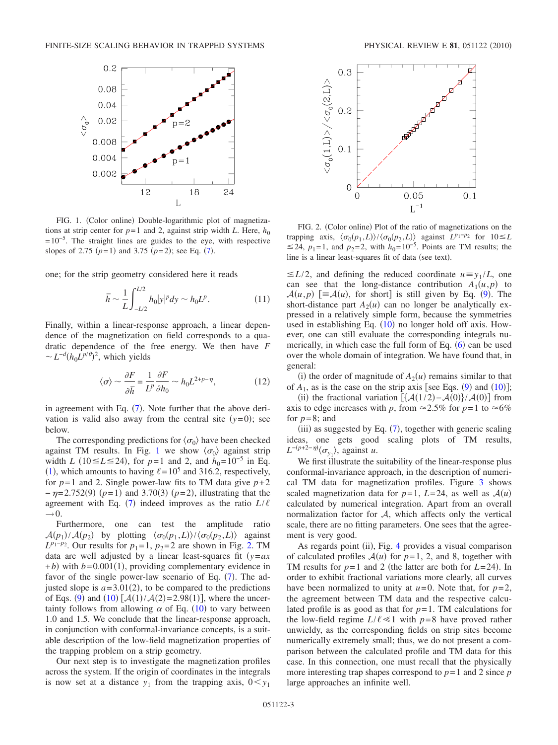<span id="page-2-0"></span>

FIG. 1. (Color online) Double-logarithmic plot of magnetizations at strip center for  $p=1$  and 2, against strip width *L*. Here,  $h_0$  $=10^{-5}$ . The straight lines are guides to the eye, with respective slopes of 2.[7](#page-1-6)5  $(p=1)$  and 3.75  $(p=2)$ ; see Eq. (7).

one; for the strip geometry considered here it reads

$$
\bar{h} \sim \frac{1}{L} \int_{-L/2}^{L/2} h_0 |y|^p dy \sim h_0 L^p.
$$
 (11)

Finally, within a linear-response approach, a linear dependence of the magnetization on field corresponds to a quadratic dependence of the free energy. We then have *F*  $\sim L^{-d} (h_0 L^{p/\theta})^2$ , which yields

$$
\langle \sigma \rangle \sim \frac{\partial F}{\partial \bar{h}} = \frac{1}{L^p} \frac{\partial F}{\partial h_0} \sim h_0 L^{2+p-\eta},\tag{12}
$$

in agreement with Eq.  $(7)$  $(7)$  $(7)$ . Note further that the above derivation is valid also away from the central site  $(y=0)$ ; see below.

The corresponding predictions for  $\langle \sigma_0 \rangle$  have been checked against TM results. In Fig. [1](#page-2-0) we show  $\langle \sigma_0 \rangle$  against strip width *L* (10≤*L*≤24), for *p*=1 and 2, and  $h_0$ =10<sup>-5</sup> in Eq. ([1](#page-1-2)), which amounts to having  $\ell = 10^5$  and 316.2, respectively, for  $p=1$  and 2. Single power-law fits to TM data give  $p+2$ *-*  $\eta$ =2.752(9) (*p*=1) and 3.70(3) (*p*=2), illustrating that the agreement with Eq. ([7](#page-1-6)) indeed improves as the ratio  $L/\ell$  $\rightarrow$  0.

Furthermore, one can test the amplitude ratio  $\mathcal{A}(p_1)/\mathcal{A}(p_2)$  by plotting  $\langle \sigma_0(p_1,L)\rangle/\langle \sigma_0(p_2,L)\rangle$  against  $L^{p_1-p_2}$ . Our results for *p*<sub>1</sub>=1, *p*<sub>2</sub>=2 are shown in Fig. [2.](#page-2-1) TM data are well adjusted by a linear least-squares fit  $(y=ax)$  $+ b$ ) with  $b = 0.001(1)$ , providing complementary evidence in favor of the single power-law scenario of Eq.  $(7)$  $(7)$  $(7)$ . The adjusted slope is  $a = 3.01(2)$ , to be compared to the predictions of Eqs. ([9](#page-1-7)) and ([10](#page-1-8))  $[\mathcal{A}(1)/\mathcal{A}(2)=2.98(1)]$ , where the uncertainty follows from allowing  $\alpha$  of Eq. ([10](#page-1-8)) to vary between 1.0 and 1.5. We conclude that the linear-response approach, in conjunction with conformal-invariance concepts, is a suitable description of the low-field magnetization properties of the trapping problem on a strip geometry.

Our next step is to investigate the magnetization profiles across the system. If the origin of coordinates in the integrals is now set at a distance  $y_1$  from the trapping axis,  $0 \lt y_1$ 

<span id="page-2-1"></span>

FIG. 2. (Color online) Plot of the ratio of magnetizations on the trapping axis,  $\langle \sigma_0(p_1, L) \rangle / \langle \sigma_0(p_2, L) \rangle$  against  $L^{p_1-p_2}$  for  $10 \le L$ ≤24,  $p_1$ =1, and  $p_2$ =2, with  $h_0$ =10<sup>-5</sup>. Points are TM results; the line is a linear least-squares fit of data (see text).

 $\leq L/2$ , and defining the reduced coordinate  $u \equiv y_1 / L$ , one can see that the long-distance contribution  $A_1(u, p)$  to  $\mathcal{A}(u,p)$  [ $\equiv \mathcal{A}(u)$ , for short] is still given by Eq. ([9](#page-1-7)). The short-distance part  $A_2(u)$  can no longer be analytically expressed in a relatively simple form, because the symmetries used in establishing Eq.  $(10)$  $(10)$  $(10)$  no longer hold off axis. However, one can still evaluate the corresponding integrals numerically, in which case the full form of Eq.  $(6)$  $(6)$  $(6)$  can be used over the whole domain of integration. We have found that, in general:

(i) the order of magnitude of  $A_2(u)$  remains similar to that of  $A_1$ , as is the case on the strip axis [see Eqs. ([9](#page-1-7)) and ([10](#page-1-8))];

(ii) the fractional variation  $[\mathcal{A}(1/2) - \mathcal{A}(0)] / \mathcal{A}(0)$  from axis to edge increases with *p*, from  $\approx 2.5\%$  for *p*=1 to  $\approx 6\%$ for  $p=8$ ; and

 $(iii)$  as suggested by Eq.  $(7)$  $(7)$  $(7)$ , together with generic scaling ideas, one gets good scaling plots of TM results, *L*<sup>−*(p*+2−*η*)</sup> $\langle \sigma_{y_1} \rangle$ , against *u*.

We first illustrate the suitability of the linear-response plus conformal-invariance approach, in the description of numerical TM data for magnetization profiles. Figure [3](#page-3-1) shows scaled magnetization data for  $p=1$ ,  $L=24$ , as well as  $A(u)$ calculated by numerical integration. Apart from an overall normalization factor for  $A$ , which affects only the vertical scale, there are no fitting parameters. One sees that the agreement is very good.

As regards point (ii), Fig. [4](#page-3-2) provides a visual comparison of calculated profiles  $A(u)$  for  $p=1$ , 2, and 8, together with TM results for  $p=1$  and 2 (the latter are both for  $L=24$ ). In order to exhibit fractional variations more clearly, all curves have been normalized to unity at  $u=0$ . Note that, for  $p=2$ , the agreement between TM data and the respective calculated profile is as good as that for  $p=1$ . TM calculations for the low-field regime  $L/\ell \ll 1$  with  $p=8$  have proved rather unwieldy, as the corresponding fields on strip sites become numerically extremely small; thus, we do not present a comparison between the calculated profile and TM data for this case. In this connection, one must recall that the physically more interesting trap shapes correspond to  $p=1$  and 2 since  $p$ large approaches an infinite well.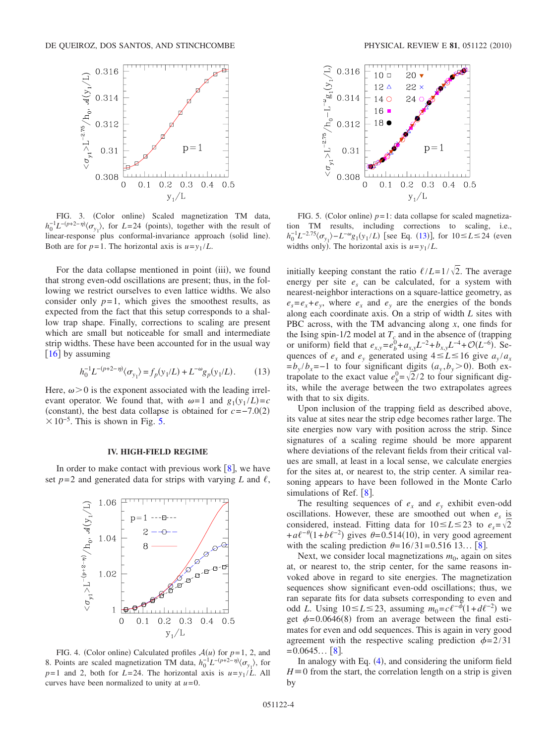<span id="page-3-1"></span>

FIG. 3. (Color online) Scaled magnetization TM data,  $h_0^{-1}L^{-(p+2-\eta)}\langle \sigma_{y_1} \rangle$ , for *L*=24 (points), together with the result of linear-response plus conformal-invariance approach (solid line). Both are for  $p=1$ . The horizontal axis is  $u=y_1/L$ .

For the data collapse mentioned in point (iii), we found that strong even-odd oscillations are present; thus, in the following we restrict ourselves to even lattice widths. We also consider only  $p=1$ , which gives the smoothest results, as expected from the fact that this setup corresponds to a shallow trap shape. Finally, corrections to scaling are present which are small but noticeable for small and intermediate strip widths. These have been accounted for in the usual way  $[16]$  $[16]$  $[16]$  by assuming

$$
h_0^{-1}L^{-(p+2-\eta)}(\sigma_{y_1}) = f_p(y_1/L) + L^{-\omega}g_p(y_1/L). \tag{13}
$$

<span id="page-3-4"></span>Here,  $\omega > 0$  is the exponent associated with the leading irrelevant operator. We found that, with  $\omega = 1$  and  $g_1(y_1 / L) = c$ (constant), the best data collapse is obtained for  $c=-7.0(2)$  $\times 10^{-5}$ . This is shown in Fig. [5.](#page-3-3)

#### **IV. HIGH-FIELD REGIME**

<span id="page-3-0"></span>In order to make contact with previous work  $[8]$  $[8]$  $[8]$ , we have set  $p=2$  and generated data for strips with varying *L* and  $\ell$ ,

<span id="page-3-2"></span>

FIG. 4. (Color online) Calculated profiles  $A(u)$  for  $p=1, 2,$  and 8. Points are scaled magnetization TM data,  $h_0^{-1}L^{-(p+2-\eta)}\langle \sigma_{y_1} \rangle$ , for  $p=1$  and 2, both for  $L=24$ . The horizontal axis is  $u=y_1/L$ . All curves have been normalized to unity at *u*=0.

<span id="page-3-3"></span>

FIG. 5. (Color online)  $p=1$ : data collapse for scaled magnetization TM results, including corrections to scaling, i.e., *h*<sup>-1</sup>*L*<sup>-2.75</sup> $\langle \sigma_{y_1} \rangle$ −*L*<sup>-*ω*</sup>g<sub>1</sub>(y<sub>1</sub>/*L*) [see Eq. ([13](#page-3-4))], for 10≤*L*≤24 (even widths only). The horizontal axis is  $u=y_1/L$ .

initially keeping constant the ratio  $\ell/L=1/\sqrt{2}$ . The average energy per site  $e_s$  can be calculated, for a system with nearest-neighbor interactions on a square-lattice geometry, as  $e_s = e_x + e_y$ , where  $e_x$  and  $e_y$  are the energies of the bonds along each coordinate axis. On a strip of width *L* sites with PBC across, with the TM advancing along *x*, one finds for the Ising spin-1/2 model at  $T_c$  and in the absence of (trapping or uniform) field that  $e_{x,y} = e_b^0 + a_{x,y}L^{-2} + b_{x,y}L^{-4} + \mathcal{O}(L^{-6})$ . Sequences of  $e_x$  and  $e_y$  generated using  $4 \le L \le 16$  give  $a_y/a_x$  $=b_y/b_x=-1$  to four significant digits  $(a_y, b_y>0)$ . Both extrapolate to the exact value  $e_b^0 = \sqrt{2}/2$  to four significant digits, while the average between the two extrapolates agrees with that to six digits.

Upon inclusion of the trapping field as described above, its value at sites near the strip edge becomes rather large. The site energies now vary with position across the strip. Since signatures of a scaling regime should be more apparent where deviations of the relevant fields from their critical values are small, at least in a local sense, we calculate energies for the sites at, or nearest to, the strip center. A similar reasoning appears to have been followed in the Monte Carlo simulations of Ref.  $[8]$  $[8]$  $[8]$ .

The resulting sequences of  $e<sub>x</sub>$  and  $e<sub>y</sub>$  exhibit even-odd oscillations. However, these are smoothed out when  $e_s$  is considered, instead. Fitting data for  $10 \le L \le 23$  to  $e_s = \sqrt{2}$  $+a\ell^{-\theta}(1+b\ell^{-2})$  gives  $\theta=0.514(10)$ , in very good agreement with the scaling prediction  $\theta = 16/31 = 0.516 13... [8].$  $\theta = 16/31 = 0.516 13... [8].$  $\theta = 16/31 = 0.516 13... [8].$ 

Next, we consider local magnetizations  $m_0$ , again on sites at, or nearest to, the strip center, for the same reasons invoked above in regard to site energies. The magnetization sequences show significant even-odd oscillations; thus, we ran separate fits for data subsets corresponding to even and odd *L*. Using 10≤*L*≤23, assuming  $m_0 = c\ell^{-\phi}(1+d\ell^{-2})$  we get  $\phi$ =0.0646(8) from an average between the final estimates for even and odd sequences. This is again in very good agreement with the respective scaling prediction  $\phi = 2/31$  $=0.0645...$  [[8](#page-6-7)].

In analogy with Eq. ([4](#page-1-3)), and considering the uniform field  $H \equiv 0$  from the start, the correlation length on a strip is given by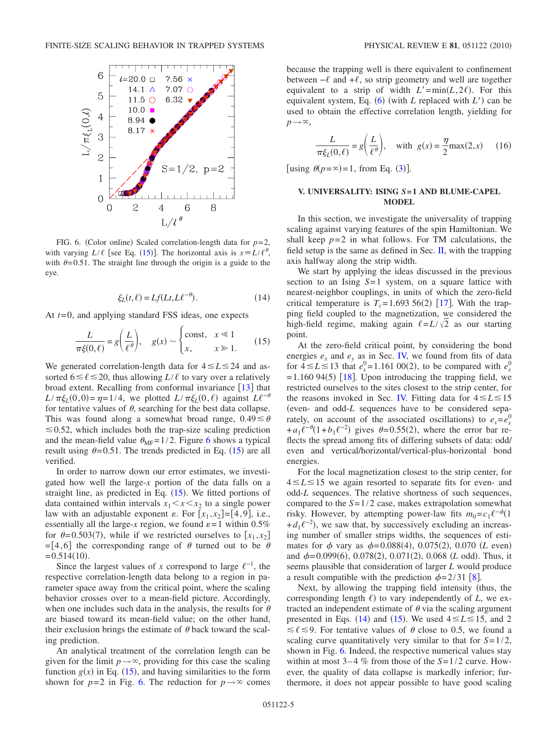<span id="page-4-1"></span>

FIG. 6. (Color online) Scaled correlation-length data for  $p=2$ , with varying  $L/\ell$  [see Eq. ([15](#page-4-2))]. The horizontal axis is  $x = L/\ell^{\theta}$ , with  $\theta$ =0.51. The straight line through the origin is a guide to the eye.

$$
\xi_L(t,\ell) = Lf(Lt, L\ell^{-\theta}).\tag{14}
$$

<span id="page-4-3"></span><span id="page-4-2"></span>At *t*=0, and applying standard FSS ideas, one expects

$$
\frac{L}{\pi\xi(0,\ell)} = g\left(\frac{L}{\ell^{\theta}}\right), \quad g(x) \sim \begin{cases} \text{const}, & x \ll 1\\ x, & x \gg 1. \end{cases} \tag{15}
$$

We generated correlation-length data for  $4 \le L \le 24$  and assorted  $6 \le \ell \le 20$ , thus allowing  $L/\ell$  to vary over a relatively broad extent. Recalling from conformal invariance  $\begin{bmatrix} 13 \end{bmatrix}$  $\begin{bmatrix} 13 \end{bmatrix}$  $\begin{bmatrix} 13 \end{bmatrix}$  that  $L/\pi \xi_L(0,0) = \eta = 1/4$ , we plotted  $L/\pi \xi_L(0,\ell)$  against  $L\ell^{-\theta}$ for tentative values of  $\theta$ , searching for the best data collapse. This was found along a somewhat broad range,  $0.49 \le \theta$  $\leq 0.52$ , which includes both the trap-size scaling prediction and the mean-field value  $\theta_{MF} = 1/2$ . Figure [6](#page-4-1) shows a typical result using  $\theta = 0.51$ . The trends predicted in Eq. ([15](#page-4-2)) are all verified.

In order to narrow down our error estimates, we investigated how well the large-*x* portion of the data falls on a straight line, as predicted in Eq.  $(15)$  $(15)$  $(15)$ . We fitted portions of data contained within intervals  $x_1 \leq x \leq x_2$  to a single power law with an adjustable exponent  $\varepsilon$ . For  $[x_1, x_2] = [4, 9]$ , i.e., essentially all the large-*x* region, we found  $\varepsilon = 1$  within 0.5% for  $\theta = 0.503(7)$ , while if we restricted ourselves to  $[x_1, x_2]$ =[4,6] the corresponding range of  $\theta$  turned out to be  $\theta$  $= 0.514(10).$ 

Since the largest values of *x* correspond to large  $\ell^{-1}$ , the respective correlation-length data belong to a region in parameter space away from the critical point, where the scaling behavior crosses over to a mean-field picture. Accordingly, when one includes such data in the analysis, the results for  $\theta$ are biased toward its mean-field value; on the other hand, their exclusion brings the estimate of  $\theta$  back toward the scaling prediction.

An analytical treatment of the correlation length can be given for the limit  $p \rightarrow \infty$ , providing for this case the scaling function  $g(x)$  in Eq. ([15](#page-4-2)), and having similarities to the form shown for  $p=2$  in Fig. [6.](#page-4-1) The reduction for  $p \rightarrow \infty$  comes because the trapping well is there equivalent to confinement between  $-\ell$  and  $+\ell$ , so strip geometry and well are together equivalent to a strip of width  $L' = min(L, 2\ell)$ . For this equivalent system, Eq. ([6](#page-1-5)) (with *L* replaced with *L*<sup>'</sup>) can be used to obtain the effective correlation length, yielding for  $p\rightarrow\infty$ ,

<span id="page-4-4"></span>
$$
\frac{L}{\pi \xi_L(0,\ell)} = g\left(\frac{L}{\ell^{\theta}}\right), \quad \text{with } g(x) = \frac{\eta}{2} \max(2,x) \quad (16)
$$

[using  $\theta(p=\infty)=1$ , from Eq. ([3](#page-1-9))].

# <span id="page-4-0"></span>**V. UNIVERSALITY: ISING** *S***= 1 AND BLUME-CAPEL MODEL**

In this section, we investigate the universality of trapping scaling against varying features of the spin Hamiltonian. We shall keep  $p=2$  in what follows. For TM calculations, the field setup is the same as defined in Sec.  $II$ , with the trapping axis halfway along the strip width.

We start by applying the ideas discussed in the previous section to an Ising *S*=1 system, on a square lattice with nearest-neighbor couplings, in units of which the zero-field critical temperature is  $T_c = 1.693\,56(2)$  [[17](#page-6-16)]. With the trapping field coupled to the magnetization, we considered the high-field regime, making again  $\ell = L/\sqrt{2}$  as our starting point.

At the zero-field critical point, by considering the bond energies  $e_x$  and  $e_y$  as in Sec. [IV,](#page-3-0) we found from fits of data for  $4 \le L \le 13$  that  $e_s^0 = 1.161$  00(2), to be compared with  $e_s^0$  $=$  1.160 94(5) [[18](#page-6-17)]. Upon introducing the trapping field, we restricted ourselves to the sites closest to the strip center, for the reasons invoked in Sec. [IV.](#page-3-0) Fitting data for  $4 \le L \le 15$ even- and odd-*L* sequences have to be considered separately, on account of the associated oscillations) to  $e_s = e_s^0$  $+a_1 \ell^{-\theta} (1+b_1 \ell^{-2})$  gives  $\theta = 0.55(2)$ , where the error bar reflects the spread among fits of differing subsets of data: odd/ even and vertical/horizontal/vertical-plus-horizontal bond energies.

For the local magnetization closest to the strip center, for  $4 \le L \le 15$  we again resorted to separate fits for even- and odd-*L* sequences. The relative shortness of such sequences, compared to the *S*=1/2 case, makes extrapolation somewhat risky. However, by attempting power-law fits  $m_0 = c_1 \ell^{-\phi} (1$  $+d_1\ell^{-2}$ , we saw that, by successively excluding an increasing number of smaller strips widths, the sequences of estimates for  $\phi$  vary as  $\phi = 0.088(4)$ , 0.075(2), 0.070 (*L* even) and  $\phi = 0.099(6)$ , 0.078(2), 0.071(2), 0.068 (*L* odd). Thus, it seems plausible that consideration of larger *L* would produce a result compatible with the prediction  $\phi = 2/31$  [[8](#page-6-7)].

Next, by allowing the trapping field intensity (thus, the corresponding length  $\ell$ ) to vary independently of *L*, we extracted an independent estimate of  $\theta$  via the scaling argument presented in Eqs. ([14](#page-4-3)) and ([15](#page-4-2)). We used  $4 \le L \le 15$ , and 2  $\leq \ell \leq 9$ . For tentative values of  $\theta$  close to 0.5, we found a scaling curve quantitatively very similar to that for *S*=1/2, shown in Fig. [6.](#page-4-1) Indeed, the respective numerical values stay within at most 3–4 % from those of the *S*=1/2 curve. However, the quality of data collapse is markedly inferior; furthermore, it does not appear possible to have good scaling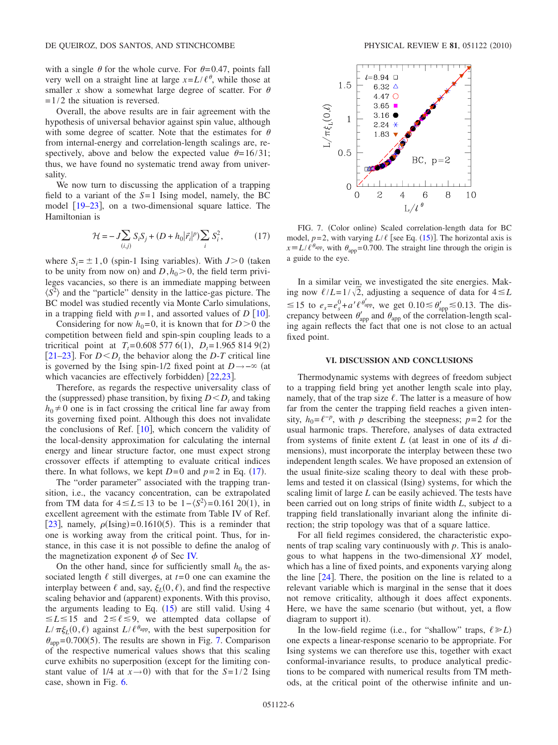with a single  $\theta$  for the whole curve. For  $\theta$ =0.47, points fall very well on a straight line at large  $x = L/\ell^{\theta}$ , while those at smaller *x* show a somewhat large degree of scatter. For  $\theta$  $=1/2$  the situation is reversed.

Overall, the above results are in fair agreement with the hypothesis of universal behavior against spin value, although with some degree of scatter. Note that the estimates for  $\theta$ from internal-energy and correlation-length scalings are, respectively, above and below the expected value  $\theta = 16/31$ ; thus, we have found no systematic trend away from universality.

We now turn to discussing the application of a trapping field to a variant of the *S*=1 Ising model, namely, the BC model [19–](#page-6-18)[23](#page-6-19), on a two-dimensional square lattice. The Hamiltonian is

$$
\mathcal{H} = -J\sum_{(i,j)} S_i S_j + (D + h_0 |\vec{r}_i|^p) \sum_i S_i^2, \tag{17}
$$

<span id="page-5-1"></span>where  $S_i = \pm 1, 0$  (spin-1 Ising variables). With  $J>0$  (taken to be unity from now on) and  $D, h_0 > 0$ , the field term privileges vacancies, so there is an immediate mapping between  $\langle S^2 \rangle$  and the "particle" density in the lattice-gas picture. The BC model was studied recently via Monte Carlo simulations, in a trapping field with  $p=1$ , and assorted values of *D* [[10](#page-6-9)].

Considering for now  $h_0=0$ , it is known that for  $D>0$  the competition between field and spin-spin coupling leads to a tricritical point at  $T_t = 0.6085776(1)$ ,  $D_t = 1.9658149(2)$ [[21–](#page-6-20)[23](#page-6-19)]. For  $D < D_t$  the behavior along the *D*-*T* critical line is governed by the Ising spin-1/2 fixed point at *D* → − ∞ (at which vacancies are effectively forbidden)  $[22,23]$  $[22,23]$  $[22,23]$  $[22,23]$ .

Therefore, as regards the respective universality class of the (suppressed) phase transition, by fixing  $D < D_t$  and taking  $h_0 \neq 0$  one is in fact crossing the critical line far away from its governing fixed point. Although this does not invalidate the conclusions of Ref.  $[10]$  $[10]$  $[10]$ , which concern the validity of the local-density approximation for calculating the internal energy and linear structure factor, one must expect strong crossover effects if attempting to evaluate critical indices there. In what follows, we kept  $D=0$  and  $p=2$  in Eq. ([17](#page-5-1)).

The "order parameter" associated with the trapping transition, i.e., the vacancy concentration, can be extrapolated from TM data for  $4 \le L \le 13$  to be  $1 - \langle S^2 \rangle = 0.161 \, 20(1)$ , in excellent agreement with the estimate from Table IV of Ref. [[23](#page-6-19)], namely,  $\rho$ (Ising)=0.1610(5). This is a reminder that one is working away from the critical point. Thus, for instance, in this case it is not possible to define the analog of the magnetization exponent  $\phi$  of Sec [IV.](#page-3-0)

On the other hand, since for sufficiently small  $h_0$  the associated length  $\ell$  still diverges, at  $t=0$  one can examine the interplay between  $\ell$  and, say,  $\xi_L(0, \ell)$ , and find the respective scaling behavior and (apparent) exponents. With this proviso, the arguments leading to Eq.  $(15)$  $(15)$  $(15)$  are still valid. Using 4  $\leq L \leq 15$  and  $2 \leq \ell \leq 9$ , we attempted data collapse of  $L/\pi \xi_L(0,\ell)$  against  $L/\ell^{\theta_{app}}$ , with the best superposition for  $\theta_{app}$ =0.700(5). The results are shown in Fig. [7.](#page-5-2) Comparison of the respective numerical values shows that this scaling curve exhibits no superposition (except for the limiting constant value of  $1/4$  at  $x \rightarrow 0$ ) with that for the  $S=1/2$  Ising case, shown in Fig. [6.](#page-4-1)

<span id="page-5-2"></span>

FIG. 7. (Color online) Scaled correlation-length data for BC model,  $p=2$ , with varying  $L/\ell$  [see Eq. ([15](#page-4-2))]. The horizontal axis is  $x = L/\ell^{\theta_{app}}$ , with  $\theta_{app} = 0.700$ . The straight line through the origin is a guide to the eye.

In a similar vein, we investigated the site energies. Making now  $\ell/L=1/\sqrt{2}$ , adjusting a sequence of data for  $4 \leq L$  $\leq 15$  to  $e_s = e_s^0 + a' \ell^{b'_{app}}$ , we get  $0.10 \leq b'_{app} \leq 0.13$ . The discrepancy between  $\theta_{\text{app}}'$  and  $\theta_{\text{app}}$  of the correlation-length scaling again reflects the fact that one is not close to an actual fixed point.

## **VI. DISCUSSION AND CONCLUSIONS**

<span id="page-5-0"></span>Thermodynamic systems with degrees of freedom subject to a trapping field bring yet another length scale into play, namely, that of the trap size  $\ell$ . The latter is a measure of how far from the center the trapping field reaches a given intensity,  $h_0 = \ell^{-p}$ , with *p* describing the steepness; *p*=2 for the usual harmonic traps. Therefore, analyses of data extracted from systems of finite extent *L* (at least in one of its *d* dimensions), must incorporate the interplay between these two independent length scales. We have proposed an extension of the usual finite-size scaling theory to deal with these problems and tested it on classical (Ising) systems, for which the scaling limit of large *L* can be easily achieved. The tests have been carried out on long strips of finite width *L*, subject to a trapping field translationally invariant along the infinite direction; the strip topology was that of a square lattice.

For all field regimes considered, the characteristic exponents of trap scaling vary continuously with *p*. This is analogous to what happens in the two-dimensional *XY* model, which has a line of fixed points, and exponents varying along the line  $[24]$  $[24]$  $[24]$ . There, the position on the line is related to a relevant variable which is marginal in the sense that it does not remove criticality, although it does affect exponents. Here, we have the same scenario (but without, yet, a flow diagram to support it).

In the low-field regime (i.e., for "shallow" traps,  $\ell \ge L$ ) one expects a linear-response scenario to be appropriate. For Ising systems we can therefore use this, together with exact conformal-invariance results, to produce analytical predictions to be compared with numerical results from TM methods, at the critical point of the otherwise infinite and un